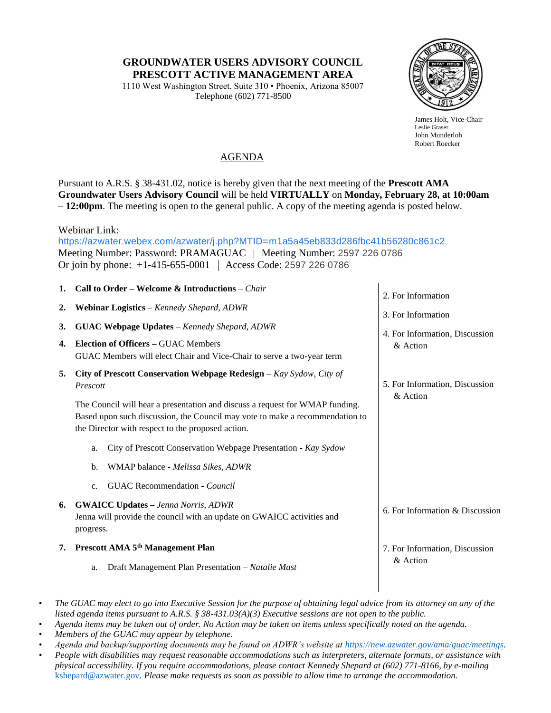## **GROUNDWATER USERS ADVISORY COUNCIL PRESCOTT ACTIVE MANAGEMENT AREA**

1110 West Washington Street, Suite 310 • Phoenix, Arizona 85007 Telephone (602) 771-8500



James Holt, Vice-Chair Leslie Graser John Munderloh Robert Roecker

## AGENDA

Pursuant to A.R.S. § 38-431.02, notice is hereby given that the next meeting of the **Prescott AMA Groundwater Users Advisory Council** will be held **VIRTUALLY** on **Monday, February 28, at 10:00am – 12:00pm**. The meeting is open to the general public. A copy of the meeting agenda is posted below.

Webinar Link:

[https://azwater.webex.com/azwater/j.php?MTID=m1a5a45eb833d286fbc41b56280c861c2](https://www.google.com/url?q=https://azwater.webex.com/azwater/j.php?MTID%3Dm1a5a45eb833d286fbc41b56280c861c2&sa=D&source=calendar&ust=1645994376333593&usg=AOvVaw2xxY5tP1QsyHUZxTD825b1) Meeting Number: Password: PRAMAGUAC | Meeting Number: 2597 226 0786 Or join by phone: +1-415-655-0001 Access Code: 2597 226 0786

| 1.               | Call to Order – Welcome & Introductions – Chair                                                                                                                                                                   | 2. For Information                         |
|------------------|-------------------------------------------------------------------------------------------------------------------------------------------------------------------------------------------------------------------|--------------------------------------------|
| $\overline{2}$ . | Webinar Logistics - Kennedy Shepard, ADWR                                                                                                                                                                         | 3. For Information                         |
| 3.               | <b>GUAC Webpage Updates - Kennedy Shepard, ADWR</b>                                                                                                                                                               | 4. For Information, Discussion             |
| 4.               | <b>Election of Officers - GUAC Members</b><br>GUAC Members will elect Chair and Vice-Chair to serve a two-year term                                                                                               | & Action                                   |
| 5.               | City of Prescott Conservation Webpage Redesign $-Kay$ Sydow, City of<br>Prescott                                                                                                                                  | 5. For Information, Discussion<br>& Action |
|                  | The Council will hear a presentation and discuss a request for WMAP funding.<br>Based upon such discussion, the Council may vote to make a recommendation to<br>the Director with respect to the proposed action. |                                            |
|                  | City of Prescott Conservation Webpage Presentation - Kay Sydow<br>a.                                                                                                                                              |                                            |
|                  | WMAP balance - Melissa Sikes, ADWR<br>$\mathbf{b}$ .                                                                                                                                                              |                                            |
|                  | <b>GUAC</b> Recommendation - <i>Council</i><br>$C_{\bullet}$                                                                                                                                                      |                                            |
| 6.               | <b>GWAICC Updates - Jenna Norris, ADWR</b><br>Jenna will provide the council with an update on GWAICC activities and<br>progress.                                                                                 | 6. For Information & Discussion            |
| 7.               | Prescott AMA 5 <sup>th</sup> Management Plan                                                                                                                                                                      | 7. For Information, Discussion             |
|                  | Draft Management Plan Presentation - Natalie Mast<br>a.                                                                                                                                                           | & Action                                   |

<sup>•</sup> *The GUAC may elect to go into Executive Session for the purpose of obtaining legal advice from its attorney on any of the listed agenda items pursuant to A.R.S. § 38-431.03(A)(3) Executive sessions are not open to the public.*

- *Agenda items may be taken out of order. No Action may be taken on items unless specifically noted on the agenda.*
- *Members of the GUAC may appear by telephone.*
- *Agenda and backup/supporting documents may be found on ADWR's website at [https://new.azwater.gov/ama/guac/meetings.](https://new.azwater.gov/ama/guac/meetings)*
- *People with disabilities may request reasonable accommodations such as interpreters, alternate formats, or assistance with physical accessibility. If you require accommodations, please contact Kennedy Shepard at (602) 771-8166, by e-mailing*  [kshepard@azwater.gov](mailto:kshepard@azwater.gov)*. Please make requests as soon as possible to allow time to arrange the accommodation.*